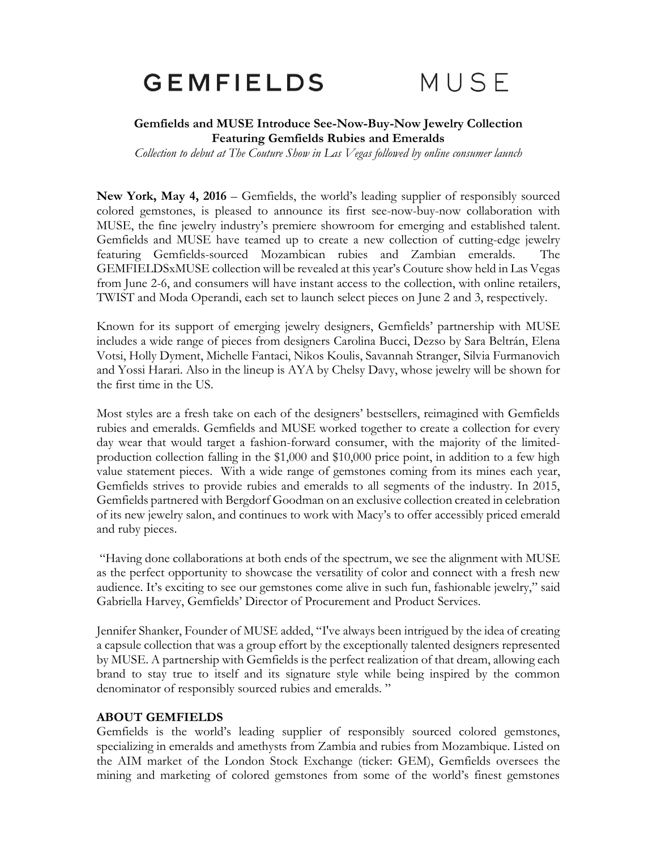# **GEMFIELDS**

## MUSE

### **Gemfields and MUSE Introduce See-Now-Buy-Now Jewelry Collection Featuring Gemfields Rubies and Emeralds**

*Collection to debut at The Couture Show in Las Vegas followed by online consumer launch*

**New York, May 4, 2016** – Gemfields, the world's leading supplier of responsibly sourced colored gemstones, is pleased to announce its first see-now-buy-now collaboration with MUSE, the fine jewelry industry's premiere showroom for emerging and established talent. Gemfields and MUSE have teamed up to create a new collection of cutting-edge jewelry featuring Gemfields-sourced Mozambican rubies and Zambian emeralds. The GEMFIELDSxMUSE collection will be revealed at this year's Couture show held in Las Vegas from June 2-6, and consumers will have instant access to the collection, with online retailers, TWIST and Moda Operandi, each set to launch select pieces on June 2 and 3, respectively.

Known for its support of emerging jewelry designers, Gemfields' partnership with MUSE includes a wide range of pieces from designers Carolina Bucci, Dezso by Sara Beltrán, Elena Votsi, Holly Dyment, Michelle Fantaci, Nikos Koulis, Savannah Stranger, Silvia Furmanovich and Yossi Harari. Also in the lineup is AYA by Chelsy Davy, whose jewelry will be shown for the first time in the US.

Most styles are a fresh take on each of the designers' bestsellers, reimagined with Gemfields rubies and emeralds. Gemfields and MUSE worked together to create a collection for every day wear that would target a fashion-forward consumer, with the majority of the limitedproduction collection falling in the \$1,000 and \$10,000 price point, in addition to a few high value statement pieces. With a wide range of gemstones coming from its mines each year, Gemfields strives to provide rubies and emeralds to all segments of the industry. In 2015, Gemfields partnered with Bergdorf Goodman on an exclusive collection created in celebration of its new jewelry salon, and continues to work with Macy's to offer accessibly priced emerald and ruby pieces.

"Having done collaborations at both ends of the spectrum, we see the alignment with MUSE as the perfect opportunity to showcase the versatility of color and connect with a fresh new audience. It's exciting to see our gemstones come alive in such fun, fashionable jewelry," said Gabriella Harvey, Gemfields' Director of Procurement and Product Services.

Jennifer Shanker, Founder of MUSE added, "I've always been intrigued by the idea of creating a capsule collection that was a group effort by the exceptionally talented designers represented by MUSE. A partnership with Gemfields is the perfect realization of that dream, allowing each brand to stay true to itself and its signature style while being inspired by the common denominator of responsibly sourced rubies and emeralds. "

#### **ABOUT GEMFIELDS**

Gemfields is the world's leading supplier of responsibly sourced colored gemstones, specializing in emeralds and amethysts from Zambia and rubies from Mozambique. Listed on the AIM market of the London Stock Exchange (ticker: GEM), Gemfields oversees the mining and marketing of colored gemstones from some of the world's finest gemstones